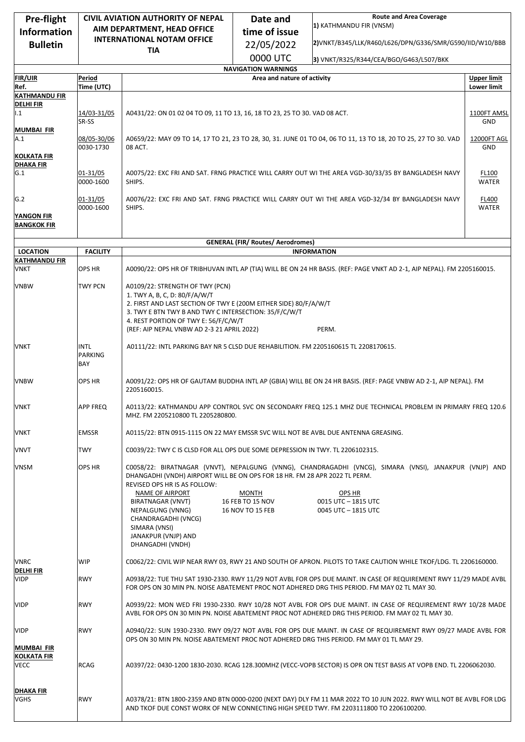| Pre-flight                          | <b>CIVIL AVIATION AUTHORITY OF NEPAL</b> |                                                                                                                                                                                                                   | <b>Route and Area Coverage</b><br>Date and                |                                                                                                        |                    |  |  |
|-------------------------------------|------------------------------------------|-------------------------------------------------------------------------------------------------------------------------------------------------------------------------------------------------------------------|-----------------------------------------------------------|--------------------------------------------------------------------------------------------------------|--------------------|--|--|
| <b>Information</b>                  | AIM DEPARTMENT, HEAD OFFICE              |                                                                                                                                                                                                                   | time of issue                                             | 1) KATHMANDU FIR (VNSM)                                                                                |                    |  |  |
| <b>Bulletin</b>                     | <b>INTERNATIONAL NOTAM OFFICE</b>        |                                                                                                                                                                                                                   | 22/05/2022                                                | 2) VNKT/B345/LLK/R460/L626/DPN/G336/SMR/G590/IID/W10/BBB                                               |                    |  |  |
|                                     |                                          | <b>TIA</b>                                                                                                                                                                                                        |                                                           |                                                                                                        |                    |  |  |
|                                     |                                          |                                                                                                                                                                                                                   | 0000 UTC                                                  | 3) VNKT/R325/R344/CEA/BGO/G463/L507/BKK                                                                |                    |  |  |
| <b>FIR/UIR</b>                      | Period                                   |                                                                                                                                                                                                                   | <b>NAVIGATION WARNINGS</b><br>Area and nature of activity |                                                                                                        | <b>Upper limit</b> |  |  |
| Ref.                                | Time (UTC)                               |                                                                                                                                                                                                                   |                                                           |                                                                                                        | <b>Lower limit</b> |  |  |
| <b>KATHMANDU FIR</b>                |                                          |                                                                                                                                                                                                                   |                                                           |                                                                                                        |                    |  |  |
| <b>DELHIFIR</b><br>1.1              | 14/03-31/05<br>SR-SS                     | A0431/22: ON 01 02 04 TO 09, 11 TO 13, 16, 18 TO 23, 25 TO 30. VAD 08 ACT.                                                                                                                                        |                                                           |                                                                                                        |                    |  |  |
| <b>MUMBAI FIR</b>                   |                                          |                                                                                                                                                                                                                   |                                                           |                                                                                                        |                    |  |  |
| A.1<br><b>KOLKATA FIR</b>           | 08/05-30/06<br>0030-1730                 | A0659/22: MAY 09 TO 14, 17 TO 21, 23 TO 28, 30, 31. JUNE 01 TO 04, 06 TO 11, 13 TO 18, 20 TO 25, 27 TO 30. VAD<br><b>12000FT AGL</b><br>08 ACT.                                                                   |                                                           |                                                                                                        |                    |  |  |
| <b>DHAKA FIR</b>                    |                                          |                                                                                                                                                                                                                   |                                                           |                                                                                                        |                    |  |  |
| G.1                                 | 01-31/05<br>0000-1600                    | A0075/22: EXC FRI AND SAT. FRNG PRACTICE WILL CARRY OUT WI THE AREA VGD-30/33/35 BY BANGLADESH NAVY<br>SHIPS.<br><b>WATER</b>                                                                                     |                                                           |                                                                                                        |                    |  |  |
| G.2                                 | 01-31/05<br>0000-1600                    | A0076/22: EXC FRI AND SAT. FRNG PRACTICE WILL CARRY OUT WI THE AREA VGD-32/34 BY BANGLADESH NAVY<br><b>FL400</b><br>SHIPS.<br><b>WATER</b>                                                                        |                                                           |                                                                                                        |                    |  |  |
| YANGON FIR                          |                                          |                                                                                                                                                                                                                   |                                                           |                                                                                                        |                    |  |  |
| <b>BANGKOK FIR</b>                  |                                          |                                                                                                                                                                                                                   |                                                           |                                                                                                        |                    |  |  |
|                                     |                                          |                                                                                                                                                                                                                   | <b>GENERAL (FIR/ Routes/ Aerodromes)</b>                  |                                                                                                        |                    |  |  |
| <b>LOCATION</b>                     | <b>FACILITY</b>                          |                                                                                                                                                                                                                   |                                                           | <b>INFORMATION</b>                                                                                     |                    |  |  |
| <b>KATHMANDU FIR</b><br><b>VNKT</b> |                                          |                                                                                                                                                                                                                   |                                                           |                                                                                                        |                    |  |  |
| <b>VNBW</b>                         | <b>OPS HR</b><br>TWY PCN                 | A0090/22: OPS HR OF TRIBHUVAN INTL AP (TIA) WILL BE ON 24 HR BASIS. (REF: PAGE VNKT AD 2-1, AIP NEPAL). FM 2205160015.<br>A0109/22: STRENGTH OF TWY (PCN)                                                         |                                                           |                                                                                                        |                    |  |  |
|                                     |                                          | 1. TWY A, B, C, D: 80/F/A/W/T<br>2. FIRST AND LAST SECTION OF TWY E (200M EITHER SIDE) 80/F/A/W/T<br>3. TWY E BTN TWY B AND TWY C INTERSECTION: 35/F/C/W/T<br>4. REST PORTION OF TWY E: 56/F/C/W/T                |                                                           |                                                                                                        |                    |  |  |
|                                     |                                          | (REF: AIP NEPAL VNBW AD 2-3 21 APRIL 2022)                                                                                                                                                                        |                                                           | PERM.                                                                                                  |                    |  |  |
| VNKT                                | <b>INTL</b><br><b>PARKING</b><br>BAY     | A0111/22: INTL PARKING BAY NR 5 CLSD DUE REHABILITION. FM 2205160615 TL 2208170615.                                                                                                                               |                                                           |                                                                                                        |                    |  |  |
| <b>VNBW</b>                         | <b>OPS HR</b>                            | A0091/22: OPS HR OF GAUTAM BUDDHA INTL AP (GBIA) WILL BE ON 24 HR BASIS. (REF: PAGE VNBW AD 2-1, AIP NEPAL). FM<br>2205160015.                                                                                    |                                                           |                                                                                                        |                    |  |  |
| <b>VNKT</b>                         | APP FREQ                                 | A0113/22: KATHMANDU APP CONTROL SVC ON SECONDARY FREQ 125.1 MHZ DUE TECHNICAL PROBLEM IN PRIMARY FREQ 120.6<br>MHZ. FM 2205210800 TL 2205280800.                                                                  |                                                           |                                                                                                        |                    |  |  |
| VNKT                                | <b>EMSSR</b>                             | A0115/22: BTN 0915-1115 ON 22 MAY EMSSR SVC WILL NOT BE AVBL DUE ANTENNA GREASING.                                                                                                                                |                                                           |                                                                                                        |                    |  |  |
| VNVT                                | <b>TWY</b>                               | C0039/22: TWY C IS CLSD FOR ALL OPS DUE SOME DEPRESSION IN TWY. TL 2206102315.                                                                                                                                    |                                                           |                                                                                                        |                    |  |  |
| <b>VNSM</b>                         | <b>OPS HR</b>                            | DHANGADHI (VNDH) AIRPORT WILL BE ON OPS FOR 18 HR. FM 28 APR 2022 TL PERM.<br>REVISED OPS HR IS AS FOLLOW:                                                                                                        |                                                           | C0058/22: BIRATNAGAR (VNVT), NEPALGUNG (VNNG), CHANDRAGADHI (VNCG), SIMARA (VNSI), JANAKPUR (VNJP) AND |                    |  |  |
|                                     |                                          | NAME OF AIRPORT<br>BIRATNAGAR (VNVT)<br>NEPALGUNG (VNNG)<br>CHANDRAGADHI (VNCG)<br>SIMARA (VNSI)<br>JANAKPUR (VNJP) AND<br>DHANGADHI (VNDH)                                                                       | <b>MONTH</b><br>16 FEB TO 15 NOV<br>16 NOV TO 15 FEB      | OPS HR<br>0015 UTC - 1815 UTC<br>0045 UTC - 1815 UTC                                                   |                    |  |  |
| <b>VNRC</b>                         | WIP                                      | C0062/22: CIVIL WIP NEAR RWY 03, RWY 21 AND SOUTH OF APRON. PILOTS TO TAKE CAUTION WHILE TKOF/LDG. TL 2206160000.                                                                                                 |                                                           |                                                                                                        |                    |  |  |
| <b>DELHI FIR</b><br><b>VIDP</b>     | <b>RWY</b>                               | A0938/22: TUE THU SAT 1930-2330. RWY 11/29 NOT AVBL FOR OPS DUE MAINT. IN CASE OF REQUIREMENT RWY 11/29 MADE AVBL<br>FOR OPS ON 30 MIN PN. NOISE ABATEMENT PROC NOT ADHERED DRG THIS PERIOD. FM MAY 02 TL MAY 30. |                                                           |                                                                                                        |                    |  |  |
| <b>VIDP</b>                         | <b>RWY</b>                               | A0939/22: MON WED FRI 1930-2330. RWY 10/28 NOT AVBL FOR OPS DUE MAINT. IN CASE OF REQUIREMENT RWY 10/28 MADE<br>AVBL FOR OPS ON 30 MIN PN. NOISE ABATEMENT PROC NOT ADHERED DRG THIS PERIOD. FM MAY 02 TL MAY 30. |                                                           |                                                                                                        |                    |  |  |
| <b>VIDP</b><br>MUMBAI FIR           | <b>RWY</b>                               | A0940/22: SUN 1930-2330. RWY 09/27 NOT AVBL FOR OPS DUE MAINT. IN CASE OF REQUIREMENT RWY 09/27 MADE AVBL FOR<br>OPS ON 30 MIN PN. NOISE ABATEMENT PROC NOT ADHERED DRG THIS PERIOD. FM MAY 01 TL MAY 29.         |                                                           |                                                                                                        |                    |  |  |
| <b>KOLKATA FIR</b><br><b>VECC</b>   | <b>RCAG</b>                              | A0397/22: 0430-1200 1830-2030. RCAG 128.300MHZ (VECC-VOPB SECTOR) IS OPR ON TEST BASIS AT VOPB END. TL 2206062030.                                                                                                |                                                           |                                                                                                        |                    |  |  |
| <b>DHAKA FIR</b><br>VGHS            | <b>RWY</b>                               | A0378/21: BTN 1800-2359 AND BTN 0000-0200 (NEXT DAY) DLY FM 11 MAR 2022 TO 10 JUN 2022. RWY WILL NOT BE AVBL FOR LDG<br>AND TKOF DUE CONST WORK OF NEW CONNECTING HIGH SPEED TWY. FM 2203111800 TO 2206100200.    |                                                           |                                                                                                        |                    |  |  |